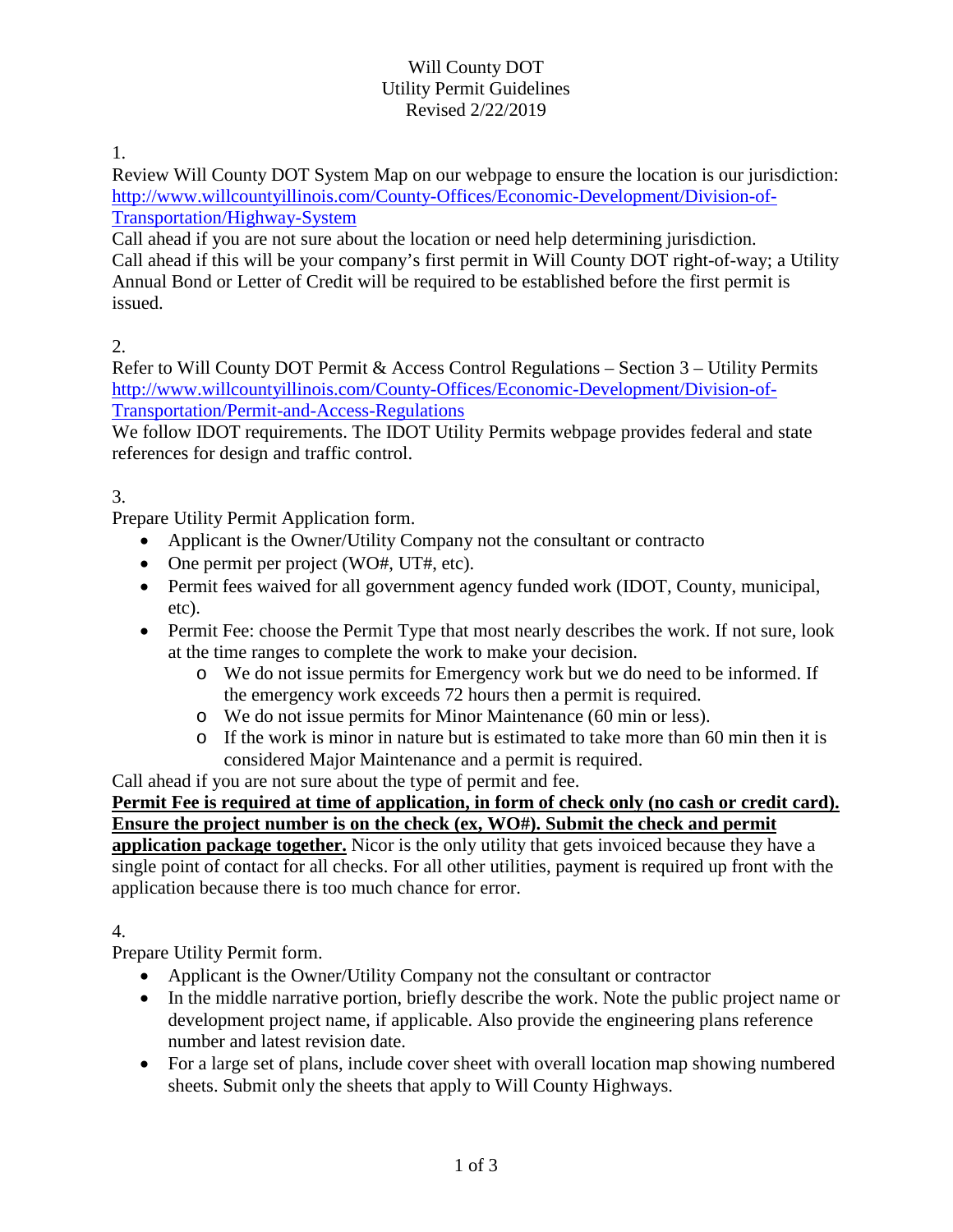### Will County DOT Utility Permit Guidelines Revised 2/22/2019

1.

Review Will County DOT System Map on our webpage to ensure the location is our jurisdiction: [http://www.willcountyillinois.com/County-Offices/Economic-Development/Division-of-](http://www.willcountyillinois.com/County-Offices/Economic-Development/Division-of-Transportation/Highway-System)[Transportation/Highway-System](http://www.willcountyillinois.com/County-Offices/Economic-Development/Division-of-Transportation/Highway-System)

Call ahead if you are not sure about the location or need help determining jurisdiction. Call ahead if this will be your company's first permit in Will County DOT right-of-way; a Utility Annual Bond or Letter of Credit will be required to be established before the first permit is issued.

2.

Refer to Will County DOT Permit & Access Control Regulations – Section 3 – Utility Permits [http://www.willcountyillinois.com/County-Offices/Economic-Development/Division-of-](http://www.willcountyillinois.com/County-Offices/Economic-Development/Division-of-Transportation/Permit-and-Access-Regulations)[Transportation/Permit-and-Access-Regulations](http://www.willcountyillinois.com/County-Offices/Economic-Development/Division-of-Transportation/Permit-and-Access-Regulations)

We follow IDOT requirements. The IDOT Utility Permits webpage provides federal and state references for design and traffic control.

# 3.

Prepare Utility Permit Application form.

- Applicant is the Owner/Utility Company not the consultant or contracto
- One permit per project (WO#, UT#, etc).
- Permit fees waived for all government agency funded work (IDOT, County, municipal, etc).
- Permit Fee: choose the Permit Type that most nearly describes the work. If not sure, look at the time ranges to complete the work to make your decision.
	- o We do not issue permits for Emergency work but we do need to be informed. If the emergency work exceeds 72 hours then a permit is required.
	- o We do not issue permits for Minor Maintenance (60 min or less).
	- $\circ$  If the work is minor in nature but is estimated to take more than 60 min then it is considered Major Maintenance and a permit is required.

Call ahead if you are not sure about the type of permit and fee.

#### **Permit Fee is required at time of application, in form of check only (no cash or credit card). Ensure the project number is on the check (ex, WO#). Submit the check and permit**

**application package together.** Nicor is the only utility that gets invoiced because they have a single point of contact for all checks. For all other utilities, payment is required up front with the application because there is too much chance for error.

### 4.

Prepare Utility Permit form.

- Applicant is the Owner/Utility Company not the consultant or contractor
- In the middle narrative portion, briefly describe the work. Note the public project name or development project name, if applicable. Also provide the engineering plans reference number and latest revision date.
- For a large set of plans, include cover sheet with overall location map showing numbered sheets. Submit only the sheets that apply to Will County Highways.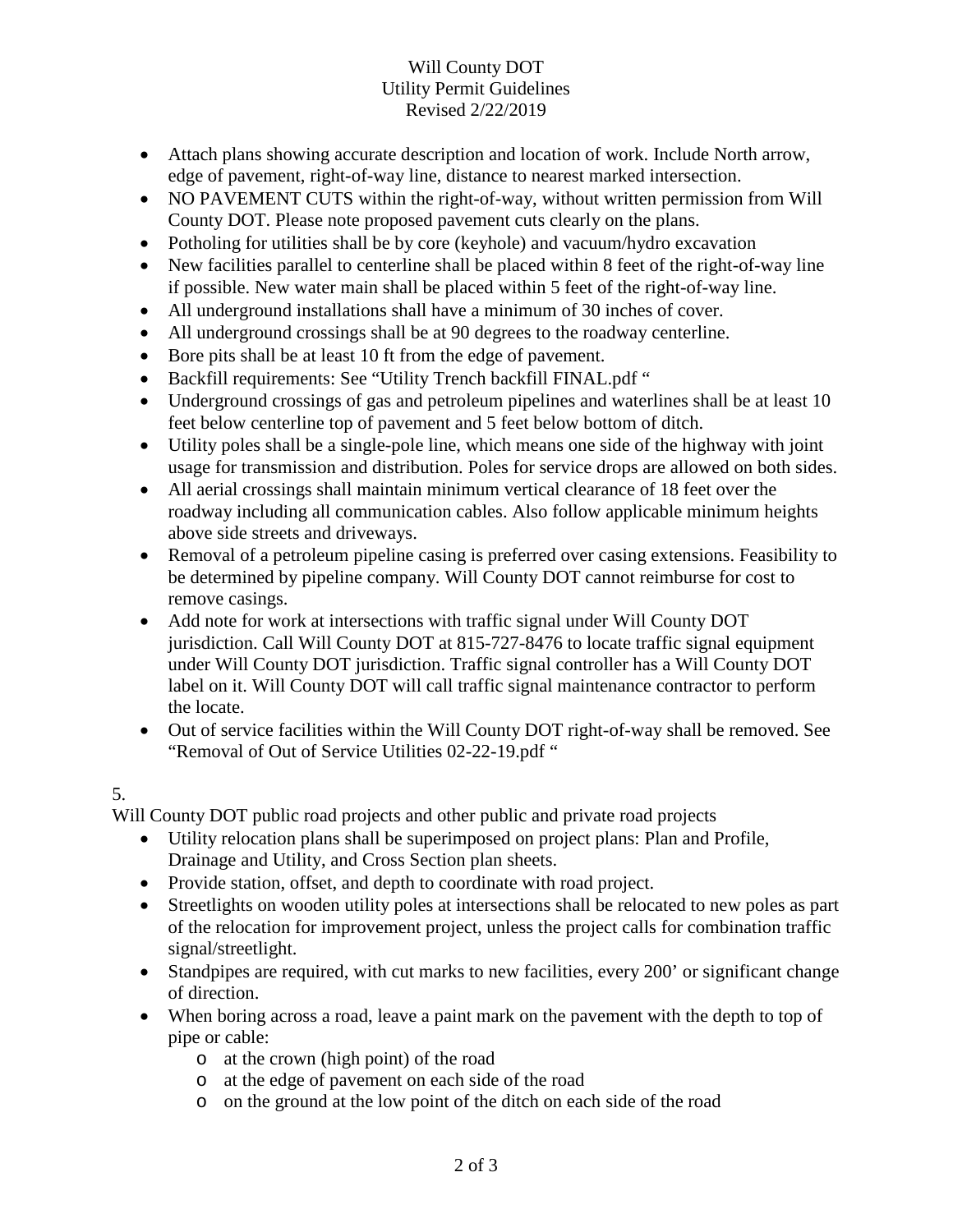### Will County DOT Utility Permit Guidelines Revised 2/22/2019

- Attach plans showing accurate description and location of work. Include North arrow, edge of pavement, right-of-way line, distance to nearest marked intersection.
- NO PAVEMENT CUTS within the right-of-way, without written permission from Will County DOT. Please note proposed pavement cuts clearly on the plans.
- Potholing for utilities shall be by core (keyhole) and vacuum/hydro excavation
- New facilities parallel to centerline shall be placed within 8 feet of the right-of-way line if possible. New water main shall be placed within 5 feet of the right-of-way line.
- All underground installations shall have a minimum of 30 inches of cover.
- All underground crossings shall be at 90 degrees to the roadway centerline.
- Bore pits shall be at least 10 ft from the edge of pavement.
- Backfill requirements: See "Utility Trench backfill FINAL.pdf"
- Underground crossings of gas and petroleum pipelines and waterlines shall be at least 10 feet below centerline top of pavement and 5 feet below bottom of ditch.
- Utility poles shall be a single-pole line, which means one side of the highway with joint usage for transmission and distribution. Poles for service drops are allowed on both sides.
- All aerial crossings shall maintain minimum vertical clearance of 18 feet over the roadway including all communication cables. Also follow applicable minimum heights above side streets and driveways.
- Removal of a petroleum pipeline casing is preferred over casing extensions. Feasibility to be determined by pipeline company. Will County DOT cannot reimburse for cost to remove casings.
- Add note for work at intersections with traffic signal under Will County DOT jurisdiction. Call Will County DOT at 815-727-8476 to locate traffic signal equipment under Will County DOT jurisdiction. Traffic signal controller has a Will County DOT label on it. Will County DOT will call traffic signal maintenance contractor to perform the locate.
- Out of service facilities within the Will County DOT right-of-way shall be removed. See "Removal of Out of Service Utilities 02-22-19.pdf"

## 5.

Will County DOT public road projects and other public and private road projects

- Utility relocation plans shall be superimposed on project plans: Plan and Profile, Drainage and Utility, and Cross Section plan sheets.
- Provide station, offset, and depth to coordinate with road project.
- Streetlights on wooden utility poles at intersections shall be relocated to new poles as part of the relocation for improvement project, unless the project calls for combination traffic signal/streetlight.
- Standpipes are required, with cut marks to new facilities, every 200' or significant change of direction.
- When boring across a road, leave a paint mark on the pavement with the depth to top of pipe or cable:
	- o at the crown (high point) of the road
	- o at the edge of pavement on each side of the road
	- o on the ground at the low point of the ditch on each side of the road